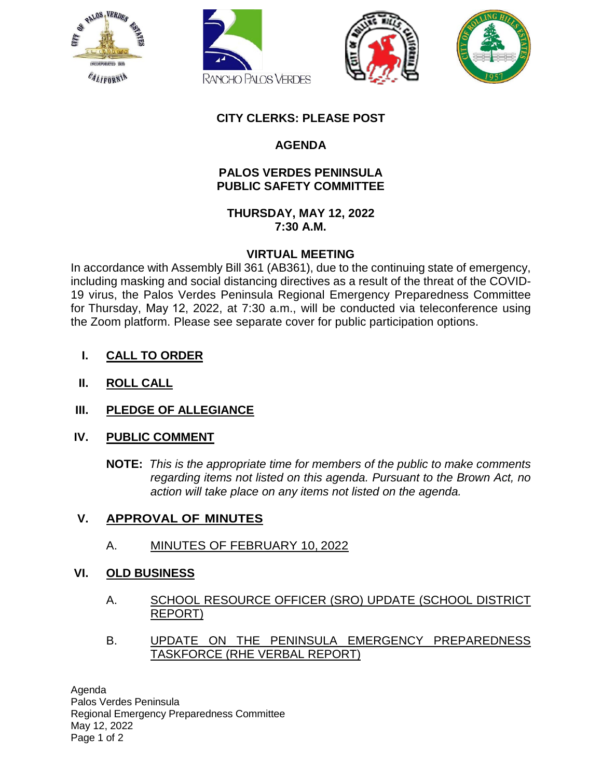







## **CITY CLERKS: PLEASE POST**

# **AGENDA**

### **PALOS VERDES PENINSULA PUBLIC SAFETY COMMITTEE**

**THURSDAY, MAY 12, 2022 7:30 A.M.**

### **VIRTUAL MEETING**

In accordance with Assembly Bill 361 (AB361), due to the continuing state of emergency, including masking and social distancing directives as a result of the threat of the COVID-19 virus, the Palos Verdes Peninsula Regional Emergency Preparedness Committee for Thursday, May 12, 2022, at 7:30 a.m., will be conducted via teleconference using the Zoom platform. Please see separate cover for public participation options.

- **I. CALL TO ORDER**
- **II. ROLL CALL**
- **III. PLEDGE OF ALLEGIANCE**

### **IV. PUBLIC COMMENT**

**NOTE:** *This is the appropriate time for members of the public to make comments regarding items not listed on this agenda. Pursuant to the Brown Act, no action will take place on any items not listed on the agenda.*

### **V. APPROVAL OF MINUTES**

A. [MINUTES OF FEBRUARY 10, 2022](#page-2-0)

### **VI. OLD BUSINESS**

- A. SCHOOL RESOURCE OFFICER (SRO) UPDATE (SCHOOL DISTRICT REPORT)
- B. UPDATE ON THE PENINSULA EMERGENCY PREPAREDNESS TASKFORCE (RHE VERBAL REPORT)

Agenda Palos Verdes Peninsula Regional Emergency Preparedness Committee May 12, 2022 Page 1 of 2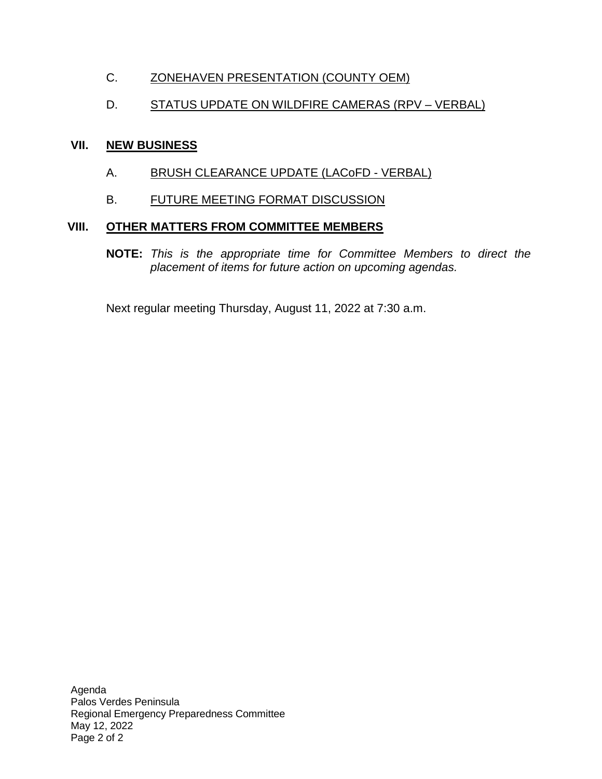# C. [ZONEHAVEN PRESENTATION \(COUNTY OEM\)](#page-10-0)

# D. STATUS UPDATE ON WILDFIRE CAMERAS (RPV – VERBAL)

#### **VII. NEW BUSINESS**

- A. BRUSH CLEARANCE UPDATE (LACOFD VERBAL)
- B. FUTURE MEETING FORMAT DISCUSSION

#### **VIII. OTHER MATTERS FROM COMMITTEE MEMBERS**

**NOTE:** *This is the appropriate time for Committee Members to direct the placement of items for future action on upcoming agendas.*

Next regular meeting Thursday, August 11, 2022 at 7:30 a.m.

Agenda Palos Verdes Peninsula Regional Emergency Preparedness Committee May 12, 2022 Page 2 of 2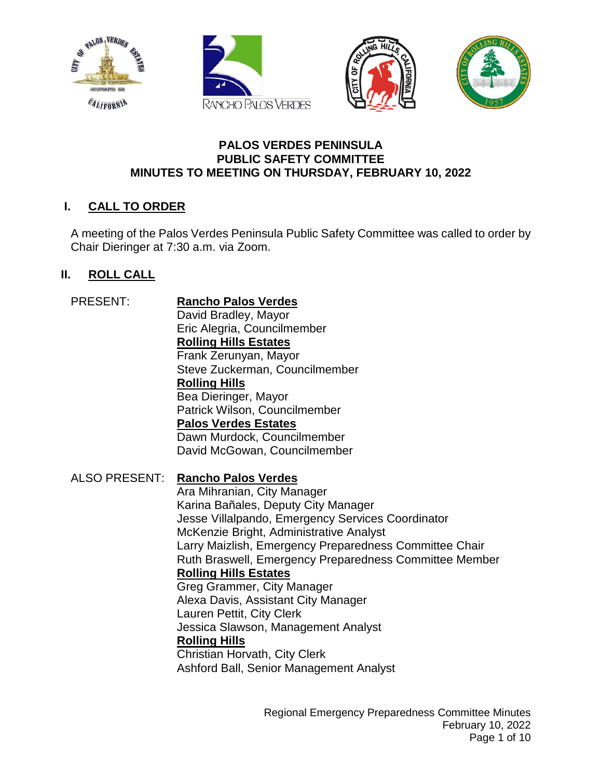<span id="page-2-0"></span>







#### **PALOS VERDES PENINSULA PUBLIC SAFETY COMMITTEE MINUTES TO MEETING ON THURSDAY, FEBRUARY 10, 2022**

# **I. CALL TO ORDER**

A meeting of the Palos Verdes Peninsula Public Safety Committee was called to order by Chair Dieringer at 7:30 a.m. via Zoom.

# **II. ROLL CALL**

PRESENT: **Rancho Palos Verdes** David Bradley, Mayor Eric Alegria, Councilmember **Rolling Hills Estates** Frank Zerunyan, Mayor Steve Zuckerman, Councilmember **Rolling Hills** Bea Dieringer, Mayor Patrick Wilson, Councilmember **Palos Verdes Estates** Dawn Murdock, Councilmember David McGowan, Councilmember ALSO PRESENT: **Rancho Palos Verdes** Ara Mihranian, City Manager Karina Bañales, Deputy City Manager Jesse Villalpando, Emergency Services Coordinator McKenzie Bright, Administrative Analyst Larry Maizlish, Emergency Preparedness Committee Chair Ruth Braswell, Emergency Preparedness Committee Member **Rolling Hills Estates** Greg Grammer, City Manager Alexa Davis, Assistant City Manager Lauren Pettit, City Clerk Jessica Slawson, Management Analyst **Rolling Hills** Christian Horvath, City Clerk Ashford Ball, Senior Management Analyst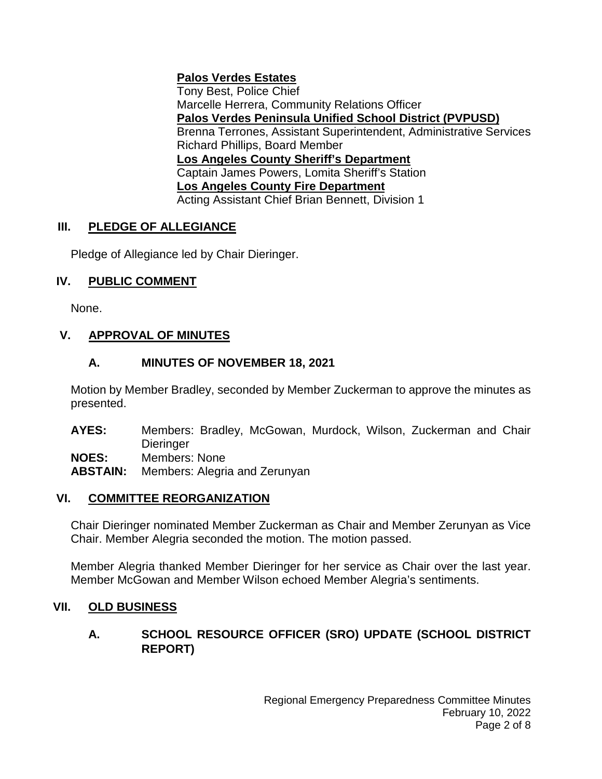# **Palos Verdes Estates**

Tony Best, Police Chief Marcelle Herrera, Community Relations Officer **Palos Verdes Peninsula Unified School District (PVPUSD)** Brenna Terrones, Assistant Superintendent, Administrative Services Richard Phillips, Board Member **Los Angeles County Sheriff's Department** Captain James Powers, Lomita Sheriff's Station **Los Angeles County Fire Department** Acting Assistant Chief Brian Bennett, Division 1

# **III. PLEDGE OF ALLEGIANCE**

Pledge of Allegiance led by Chair Dieringer.

# **IV. PUBLIC COMMENT**

None.

# **V. APPROVAL OF MINUTES**

# **A. MINUTES OF NOVEMBER 18, 2021**

Motion by Member Bradley, seconded by Member Zuckerman to approve the minutes as presented.

**AYES:** Members: Bradley, McGowan, Murdock, Wilson, Zuckerman and Chair **Dieringer** 

**NOES:** Members: None<br> **ABSTAIN:** Members: Alegri

**ABSTAIN:** Members: Alegria and Zerunyan

# **VI. COMMITTEE REORGANIZATION**

Chair Dieringer nominated Member Zuckerman as Chair and Member Zerunyan as Vice Chair. Member Alegria seconded the motion. The motion passed.

Member Alegria thanked Member Dieringer for her service as Chair over the last year. Member McGowan and Member Wilson echoed Member Alegria's sentiments.

# **VII. OLD BUSINESS**

# **A. SCHOOL RESOURCE OFFICER (SRO) UPDATE (SCHOOL DISTRICT REPORT)**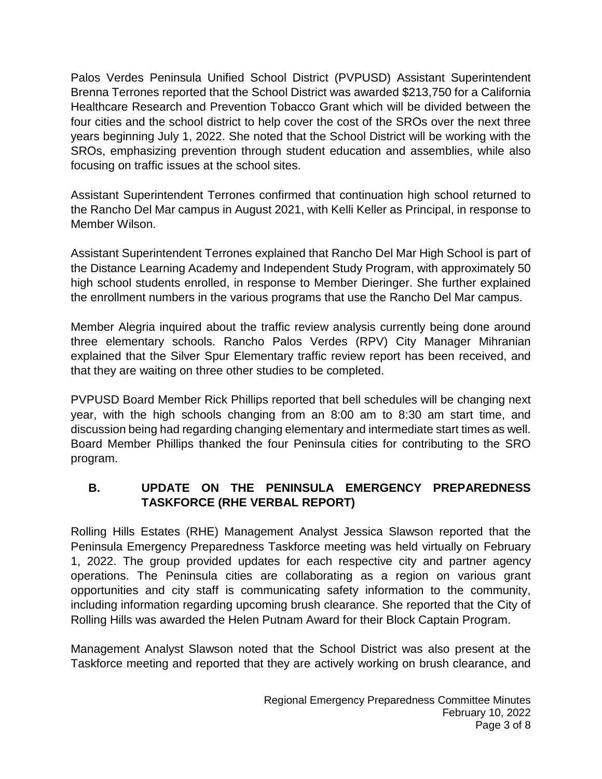Palos Verdes Peninsula Unified School District (PVPUSD) Assistant Superintendent Brenna Terrones reported that the School District was awarded \$213,750 for a California Healthcare Research and Prevention Tobacco Grant which will be divided between the four cities and the school district to help cover the cost of the SROs over the next three years beginning July 1, 2022. She noted that the School District will be working with the SROs, emphasizing prevention through student education and assemblies, while also focusing on traffic issues at the school sites.

Assistant Superintendent Terrones confirmed that continuation high school returned to the Rancho Del Mar campus in August 2021, with Kelli Keller as Principal, in response to Member Wilson.

Assistant Superintendent Terrones explained that Rancho Del Mar High School is part of the Distance Learning Academy and Independent Study Program, with approximately 50 high school students enrolled, in response to Member Dieringer. She further explained the enrollment numbers in the various programs that use the Rancho Del Mar campus.

Member Alegria inquired about the traffic review analysis currently being done around three elementary schools. Rancho Palos Verdes (RPV) City Manager Mihranian explained that the Silver Spur Elementary traffic review report has been received, and that they are waiting on three other studies to be completed.

PVPUSD Board Member Rick Phillips reported that bell schedules will be changing next year, with the high schools changing from an 8:00 am to 8:30 am start time, and discussion being had regarding changing elementary and intermediate start times as well. Board Member Phillips thanked the four Peninsula cities for contributing to the SRO program.

# **B. UPDATE ON THE PENINSULA EMERGENCY PREPAREDNESS TASKFORCE (RHE VERBAL REPORT)**

Rolling Hills Estates (RHE) Management Analyst Jessica Slawson reported that the Peninsula Emergency Preparedness Taskforce meeting was held virtually on February 1, 2022. The group provided updates for each respective city and partner agency operations. The Peninsula cities are collaborating as a region on various grant opportunities and city staff is communicating safety information to the community, including information regarding upcoming brush clearance. She reported that the City of Rolling Hills was awarded the Helen Putnam Award for their Block Captain Program.

Management Analyst Slawson noted that the School District was also present at the Taskforce meeting and reported that they are actively working on brush clearance, and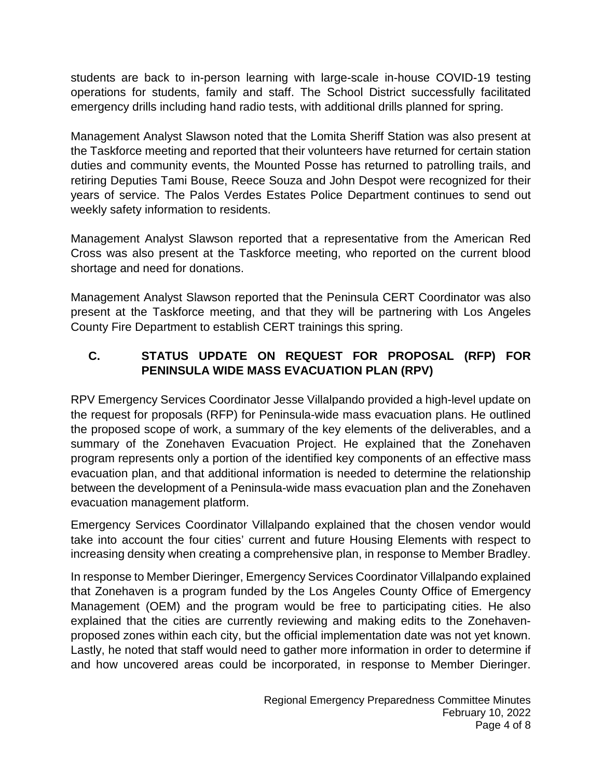students are back to in-person learning with large-scale in-house COVID-19 testing operations for students, family and staff. The School District successfully facilitated emergency drills including hand radio tests, with additional drills planned for spring.

Management Analyst Slawson noted that the Lomita Sheriff Station was also present at the Taskforce meeting and reported that their volunteers have returned for certain station duties and community events, the Mounted Posse has returned to patrolling trails, and retiring Deputies Tami Bouse, Reece Souza and John Despot were recognized for their years of service. The Palos Verdes Estates Police Department continues to send out weekly safety information to residents.

Management Analyst Slawson reported that a representative from the American Red Cross was also present at the Taskforce meeting, who reported on the current blood shortage and need for donations.

Management Analyst Slawson reported that the Peninsula CERT Coordinator was also present at the Taskforce meeting, and that they will be partnering with Los Angeles County Fire Department to establish CERT trainings this spring.

# **C. STATUS UPDATE ON REQUEST FOR PROPOSAL (RFP) FOR PENINSULA WIDE MASS EVACUATION PLAN (RPV)**

RPV Emergency Services Coordinator Jesse Villalpando provided a high-level update on the request for proposals (RFP) for Peninsula-wide mass evacuation plans. He outlined the proposed scope of work, a summary of the key elements of the deliverables, and a summary of the Zonehaven Evacuation Project. He explained that the Zonehaven program represents only a portion of the identified key components of an effective mass evacuation plan, and that additional information is needed to determine the relationship between the development of a Peninsula-wide mass evacuation plan and the Zonehaven evacuation management platform.

Emergency Services Coordinator Villalpando explained that the chosen vendor would take into account the four cities' current and future Housing Elements with respect to increasing density when creating a comprehensive plan, in response to Member Bradley.

In response to Member Dieringer, Emergency Services Coordinator Villalpando explained that Zonehaven is a program funded by the Los Angeles County Office of Emergency Management (OEM) and the program would be free to participating cities. He also explained that the cities are currently reviewing and making edits to the Zonehavenproposed zones within each city, but the official implementation date was not yet known. Lastly, he noted that staff would need to gather more information in order to determine if and how uncovered areas could be incorporated, in response to Member Dieringer.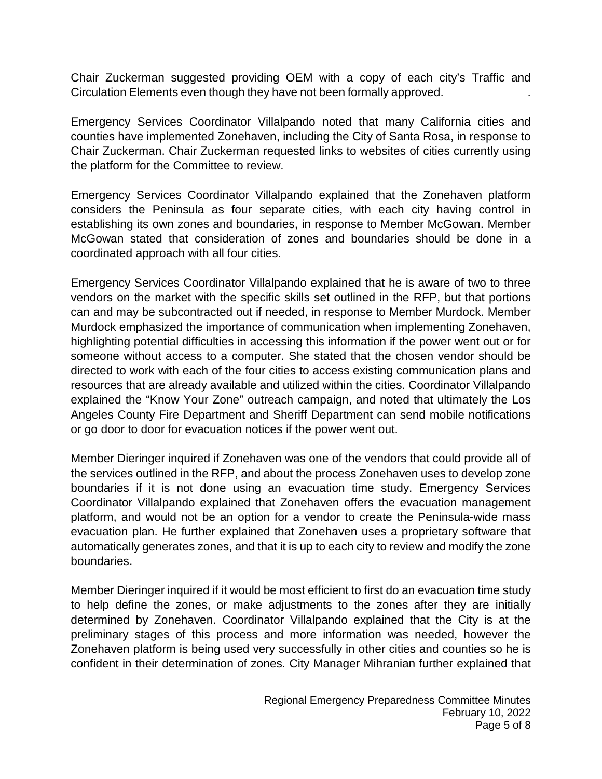Chair Zuckerman suggested providing OEM with a copy of each city's Traffic and Circulation Elements even though they have not been formally approved. .

Emergency Services Coordinator Villalpando noted that many California cities and counties have implemented Zonehaven, including the City of Santa Rosa, in response to Chair Zuckerman. Chair Zuckerman requested links to websites of cities currently using the platform for the Committee to review.

Emergency Services Coordinator Villalpando explained that the Zonehaven platform considers the Peninsula as four separate cities, with each city having control in establishing its own zones and boundaries, in response to Member McGowan. Member McGowan stated that consideration of zones and boundaries should be done in a coordinated approach with all four cities.

Emergency Services Coordinator Villalpando explained that he is aware of two to three vendors on the market with the specific skills set outlined in the RFP, but that portions can and may be subcontracted out if needed, in response to Member Murdock. Member Murdock emphasized the importance of communication when implementing Zonehaven, highlighting potential difficulties in accessing this information if the power went out or for someone without access to a computer. She stated that the chosen vendor should be directed to work with each of the four cities to access existing communication plans and resources that are already available and utilized within the cities. Coordinator Villalpando explained the "Know Your Zone" outreach campaign, and noted that ultimately the Los Angeles County Fire Department and Sheriff Department can send mobile notifications or go door to door for evacuation notices if the power went out.

Member Dieringer inquired if Zonehaven was one of the vendors that could provide all of the services outlined in the RFP, and about the process Zonehaven uses to develop zone boundaries if it is not done using an evacuation time study. Emergency Services Coordinator Villalpando explained that Zonehaven offers the evacuation management platform, and would not be an option for a vendor to create the Peninsula-wide mass evacuation plan. He further explained that Zonehaven uses a proprietary software that automatically generates zones, and that it is up to each city to review and modify the zone boundaries.

Member Dieringer inquired if it would be most efficient to first do an evacuation time study to help define the zones, or make adjustments to the zones after they are initially determined by Zonehaven. Coordinator Villalpando explained that the City is at the preliminary stages of this process and more information was needed, however the Zonehaven platform is being used very successfully in other cities and counties so he is confident in their determination of zones. City Manager Mihranian further explained that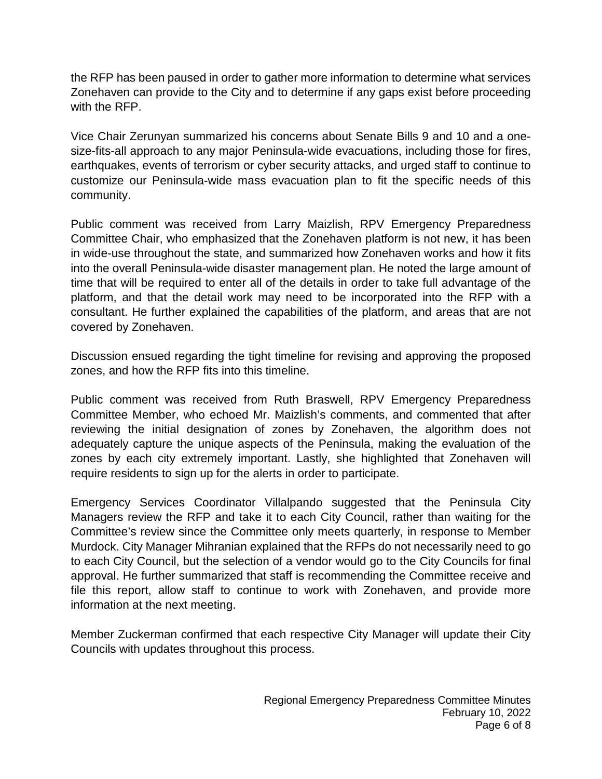the RFP has been paused in order to gather more information to determine what services Zonehaven can provide to the City and to determine if any gaps exist before proceeding with the RFP.

Vice Chair Zerunyan summarized his concerns about Senate Bills 9 and 10 and a onesize-fits-all approach to any major Peninsula-wide evacuations, including those for fires, earthquakes, events of terrorism or cyber security attacks, and urged staff to continue to customize our Peninsula-wide mass evacuation plan to fit the specific needs of this community.

Public comment was received from Larry Maizlish, RPV Emergency Preparedness Committee Chair, who emphasized that the Zonehaven platform is not new, it has been in wide-use throughout the state, and summarized how Zonehaven works and how it fits into the overall Peninsula-wide disaster management plan. He noted the large amount of time that will be required to enter all of the details in order to take full advantage of the platform, and that the detail work may need to be incorporated into the RFP with a consultant. He further explained the capabilities of the platform, and areas that are not covered by Zonehaven.

Discussion ensued regarding the tight timeline for revising and approving the proposed zones, and how the RFP fits into this timeline.

Public comment was received from Ruth Braswell, RPV Emergency Preparedness Committee Member, who echoed Mr. Maizlish's comments, and commented that after reviewing the initial designation of zones by Zonehaven, the algorithm does not adequately capture the unique aspects of the Peninsula, making the evaluation of the zones by each city extremely important. Lastly, she highlighted that Zonehaven will require residents to sign up for the alerts in order to participate.

Emergency Services Coordinator Villalpando suggested that the Peninsula City Managers review the RFP and take it to each City Council, rather than waiting for the Committee's review since the Committee only meets quarterly, in response to Member Murdock. City Manager Mihranian explained that the RFPs do not necessarily need to go to each City Council, but the selection of a vendor would go to the City Councils for final approval. He further summarized that staff is recommending the Committee receive and file this report, allow staff to continue to work with Zonehaven, and provide more information at the next meeting.

Member Zuckerman confirmed that each respective City Manager will update their City Councils with updates throughout this process.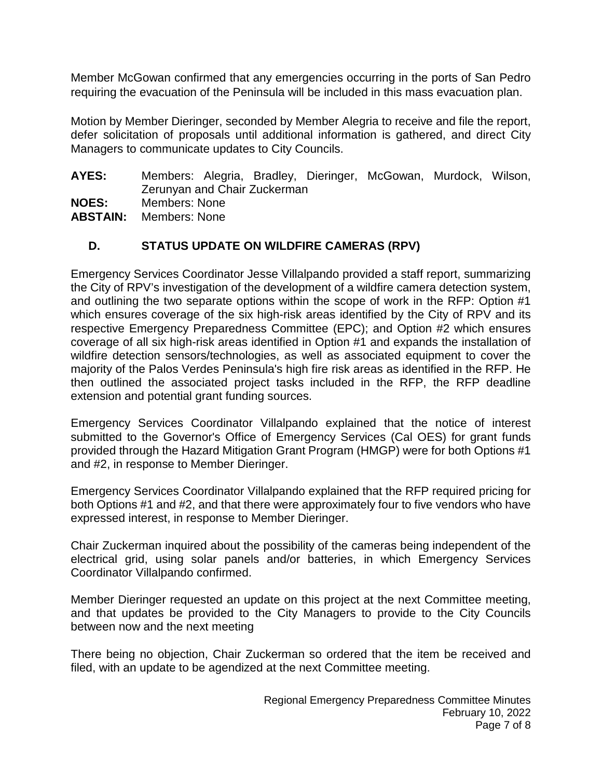Member McGowan confirmed that any emergencies occurring in the ports of San Pedro requiring the evacuation of the Peninsula will be included in this mass evacuation plan.

Motion by Member Dieringer, seconded by Member Alegria to receive and file the report, defer solicitation of proposals until additional information is gathered, and direct City Managers to communicate updates to City Councils.

- **AYES:** Members: Alegria, Bradley, Dieringer, McGowan, Murdock, Wilson, Zerunyan and Chair Zuckerman
- **NOES:** Members: None
- **ABSTAIN:** Members: None

# **D. STATUS UPDATE ON WILDFIRE CAMERAS (RPV)**

Emergency Services Coordinator Jesse Villalpando provided a staff report, summarizing the City of RPV's investigation of the development of a wildfire camera detection system, and outlining the two separate options within the scope of work in the RFP: Option #1 which ensures coverage of the six high-risk areas identified by the City of RPV and its respective Emergency Preparedness Committee (EPC); and Option #2 which ensures coverage of all six high-risk areas identified in Option #1 and expands the installation of wildfire detection sensors/technologies, as well as associated equipment to cover the majority of the Palos Verdes Peninsula's high fire risk areas as identified in the RFP. He then outlined the associated project tasks included in the RFP, the RFP deadline extension and potential grant funding sources.

Emergency Services Coordinator Villalpando explained that the notice of interest submitted to the Governor's Office of Emergency Services (Cal OES) for grant funds provided through the Hazard Mitigation Grant Program (HMGP) were for both Options #1 and #2, in response to Member Dieringer.

Emergency Services Coordinator Villalpando explained that the RFP required pricing for both Options #1 and #2, and that there were approximately four to five vendors who have expressed interest, in response to Member Dieringer.

Chair Zuckerman inquired about the possibility of the cameras being independent of the electrical grid, using solar panels and/or batteries, in which Emergency Services Coordinator Villalpando confirmed.

Member Dieringer requested an update on this project at the next Committee meeting, and that updates be provided to the City Managers to provide to the City Councils between now and the next meeting

There being no objection, Chair Zuckerman so ordered that the item be received and filed, with an update to be agendized at the next Committee meeting.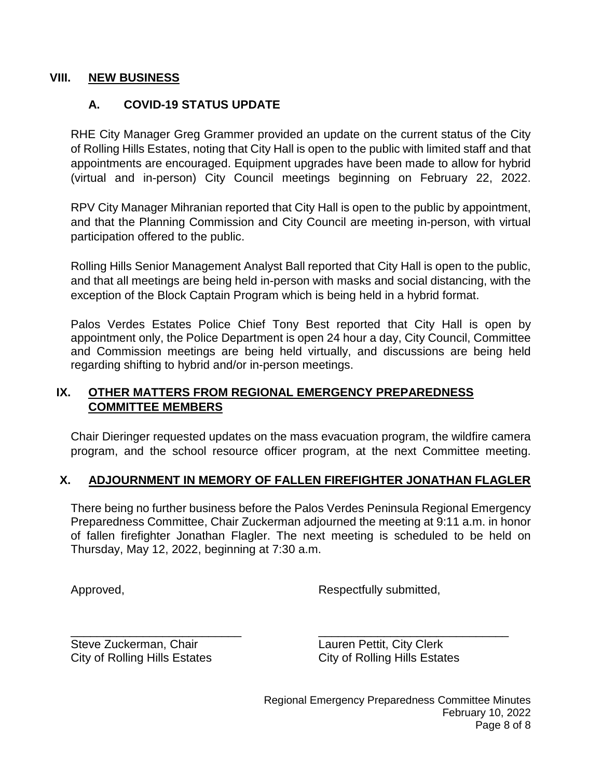#### **VIII. NEW BUSINESS**

# **A. COVID-19 STATUS UPDATE**

RHE City Manager Greg Grammer provided an update on the current status of the City of Rolling Hills Estates, noting that City Hall is open to the public with limited staff and that appointments are encouraged. Equipment upgrades have been made to allow for hybrid (virtual and in-person) City Council meetings beginning on February 22, 2022.

RPV City Manager Mihranian reported that City Hall is open to the public by appointment, and that the Planning Commission and City Council are meeting in-person, with virtual participation offered to the public.

Rolling Hills Senior Management Analyst Ball reported that City Hall is open to the public, and that all meetings are being held in-person with masks and social distancing, with the exception of the Block Captain Program which is being held in a hybrid format.

Palos Verdes Estates Police Chief Tony Best reported that City Hall is open by appointment only, the Police Department is open 24 hour a day, City Council, Committee and Commission meetings are being held virtually, and discussions are being held regarding shifting to hybrid and/or in-person meetings.

### **IX. OTHER MATTERS FROM REGIONAL EMERGENCY PREPAREDNESS COMMITTEE MEMBERS**

Chair Dieringer requested updates on the mass evacuation program, the wildfire camera program, and the school resource officer program, at the next Committee meeting.

### **X. ADJOURNMENT IN MEMORY OF FALLEN FIREFIGHTER JONATHAN FLAGLER**

There being no further business before the Palos Verdes Peninsula Regional Emergency Preparedness Committee, Chair Zuckerman adjourned the meeting at 9:11 a.m. in honor of fallen firefighter Jonathan Flagler. The next meeting is scheduled to be held on Thursday, May 12, 2022, beginning at 7:30 a.m.

Approved, Approved, Approved, Approved, Approved, Approved, Approved, Approved, Approved, Approved, Approved,  $\overline{R}$ 

\_\_\_\_\_\_\_\_\_\_\_\_\_\_\_\_\_\_\_\_\_\_\_\_\_\_ \_\_\_\_\_\_\_\_\_\_\_\_\_\_\_\_\_\_\_\_\_\_\_\_\_\_\_\_\_ Steve Zuckerman, Chair **Lauren Pettit, City Clerk** City of Rolling Hills Estates City of Rolling Hills Estates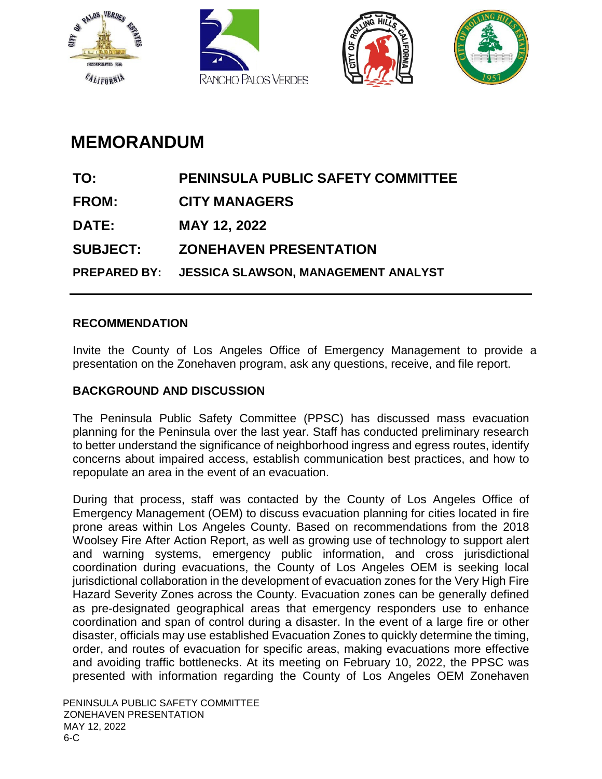<span id="page-10-0"></span>







# **MEMORANDUM**

| TO:             | <b>PENINSULA PUBLIC SAFETY COMMITTEE</b>         |
|-----------------|--------------------------------------------------|
| <b>FROM:</b>    | <b>CITY MANAGERS</b>                             |
| <b>DATE:</b>    | MAY 12, 2022                                     |
| <b>SUBJECT:</b> | <b>ZONEHAVEN PRESENTATION</b>                    |
|                 | PREPARED BY: JESSICA SLAWSON, MANAGEMENT ANALYST |
|                 |                                                  |

### **RECOMMENDATION**

Invite the County of Los Angeles Office of Emergency Management to provide a presentation on the Zonehaven program, ask any questions, receive, and file report.

# **BACKGROUND AND DISCUSSION**

The Peninsula Public Safety Committee (PPSC) has discussed mass evacuation planning for the Peninsula over the last year. Staff has conducted preliminary research to better understand the significance of neighborhood ingress and egress routes, identify concerns about impaired access, establish communication best practices, and how to repopulate an area in the event of an evacuation.

During that process, staff was contacted by the County of Los Angeles Office of Emergency Management (OEM) to discuss evacuation planning for cities located in fire prone areas within Los Angeles County. Based on recommendations from the 2018 Woolsey Fire After Action Report, as well as growing use of technology to support alert and warning systems, emergency public information, and cross jurisdictional coordination during evacuations, the County of Los Angeles OEM is seeking local jurisdictional collaboration in the development of evacuation zones for the Very High Fire Hazard Severity Zones across the County. Evacuation zones can be generally defined as pre-designated geographical areas that emergency responders use to enhance coordination and span of control during a disaster. In the event of a large fire or other disaster, officials may use established Evacuation Zones to quickly determine the timing, order, and routes of evacuation for specific areas, making evacuations more effective and avoiding traffic bottlenecks. At its meeting on February 10, 2022, the PPSC was presented with information regarding the County of Los Angeles OEM Zonehaven

PENINSULA PUBLIC SAFETY COMMITTEE ZONEHAVEN PRESENTATION MAY 12, 2022 6-C